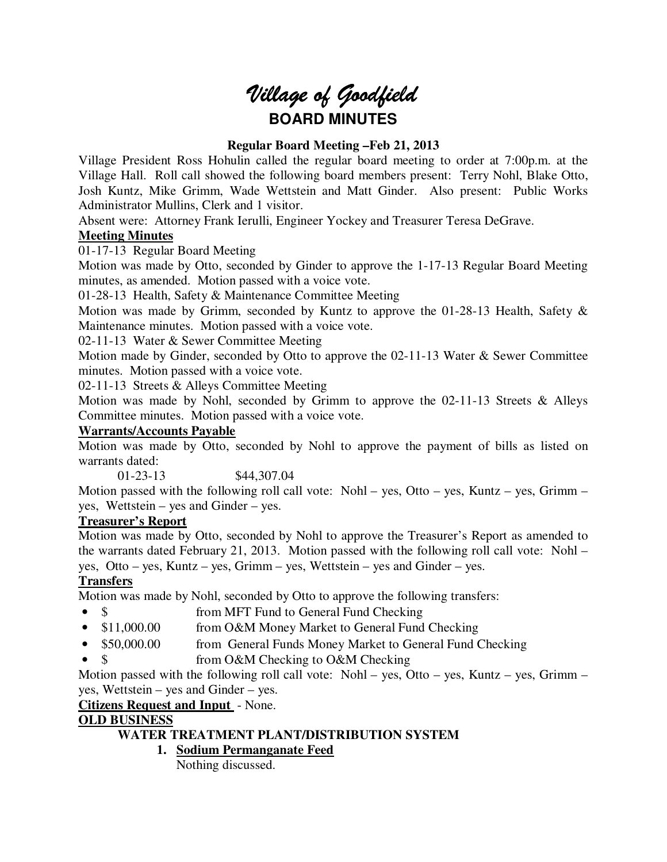# *Village of Goodfield* **BOARD MINUTES**

## **Regular Board Meeting –Feb 21, 2013**

Village President Ross Hohulin called the regular board meeting to order at 7:00p.m. at the Village Hall. Roll call showed the following board members present: Terry Nohl, Blake Otto, Josh Kuntz, Mike Grimm, Wade Wettstein and Matt Ginder. Also present: Public Works Administrator Mullins, Clerk and 1 visitor.

Absent were: Attorney Frank Ierulli, Engineer Yockey and Treasurer Teresa DeGrave.

### **Meeting Minutes**

01-17-13 Regular Board Meeting

Motion was made by Otto, seconded by Ginder to approve the 1-17-13 Regular Board Meeting minutes, as amended. Motion passed with a voice vote.

01-28-13 Health, Safety & Maintenance Committee Meeting

Motion was made by Grimm, seconded by Kuntz to approve the 01-28-13 Health, Safety & Maintenance minutes. Motion passed with a voice vote.

02-11-13 Water & Sewer Committee Meeting

Motion made by Ginder, seconded by Otto to approve the 02-11-13 Water & Sewer Committee minutes. Motion passed with a voice vote.

02-11-13 Streets & Alleys Committee Meeting

Motion was made by Nohl, seconded by Grimm to approve the 02-11-13 Streets & Alleys Committee minutes. Motion passed with a voice vote.

#### **Warrants/Accounts Payable**

Motion was made by Otto, seconded by Nohl to approve the payment of bills as listed on warrants dated:

01-23-13 \$44,307.04

Motion passed with the following roll call vote: Nohl – yes, Otto – yes, Kuntz – yes, Grimm – yes, Wettstein – yes and Ginder – yes.

#### **Treasurer's Report**

Motion was made by Otto, seconded by Nohl to approve the Treasurer's Report as amended to the warrants dated February 21, 2013. Motion passed with the following roll call vote: Nohl – yes, Otto – yes, Kuntz – yes, Grimm – yes, Wettstein – yes and Ginder – yes.

## **Transfers**

Motion was made by Nohl, seconded by Otto to approve the following transfers:

- \$ from MFT Fund to General Fund Checking
- \$11,000.00 from O&M Money Market to General Fund Checking
- \$50,000.00 from General Funds Money Market to General Fund Checking
- \$ from O&M Checking to O&M Checking

Motion passed with the following roll call vote: Nohl – yes, Otto – yes, Kuntz – yes, Grimm – yes, Wettstein – yes and Ginder – yes.

**Citizens Request and Input** - None.

## **OLD BUSINESS**

## **WATER TREATMENT PLANT/DISTRIBUTION SYSTEM**

**1. Sodium Permanganate Feed** 

Nothing discussed.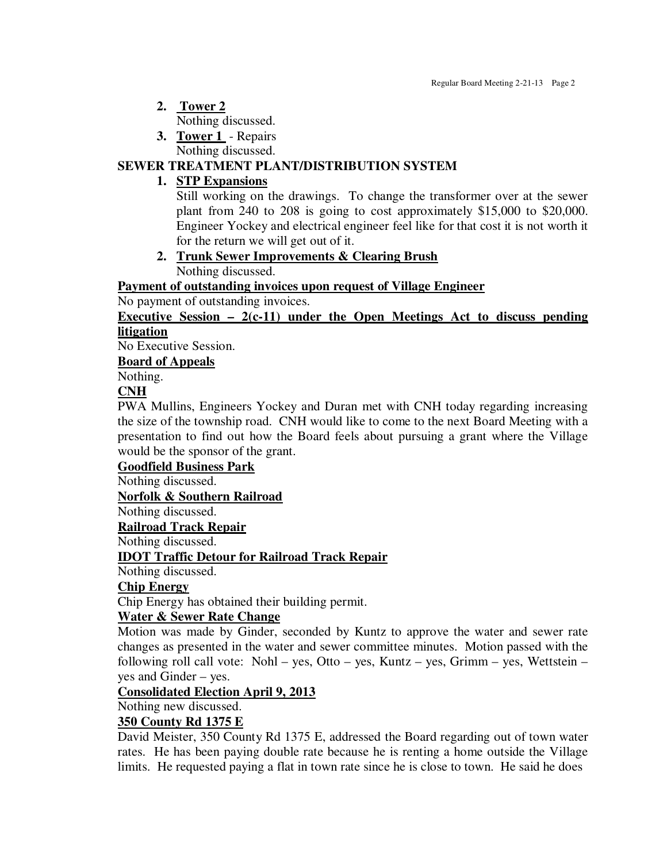- **2. Tower 2** 
	- Nothing discussed.
- **3. Tower 1**  Repairs

Nothing discussed.

# **SEWER TREATMENT PLANT/DISTRIBUTION SYSTEM**

# **1. STP Expansions**

Still working on the drawings. To change the transformer over at the sewer plant from 240 to 208 is going to cost approximately \$15,000 to \$20,000. Engineer Yockey and electrical engineer feel like for that cost it is not worth it for the return we will get out of it.

**2. Trunk Sewer Improvements & Clearing Brush**  Nothing discussed.

**Payment of outstanding invoices upon request of Village Engineer** 

No payment of outstanding invoices.

**Executive Session – 2(c-11) under the Open Meetings Act to discuss pending litigation** 

No Executive Session.

**Board of Appeals** 

Nothing.

# **CNH**

PWA Mullins, Engineers Yockey and Duran met with CNH today regarding increasing the size of the township road. CNH would like to come to the next Board Meeting with a presentation to find out how the Board feels about pursuing a grant where the Village would be the sponsor of the grant.

**Goodfield Business Park** 

Nothing discussed.

**Norfolk & Southern Railroad** 

Nothing discussed.

**Railroad Track Repair** 

Nothing discussed.

## **IDOT Traffic Detour for Railroad Track Repair**

Nothing discussed.

## **Chip Energy**

Chip Energy has obtained their building permit.

## **Water & Sewer Rate Change**

Motion was made by Ginder, seconded by Kuntz to approve the water and sewer rate changes as presented in the water and sewer committee minutes. Motion passed with the following roll call vote: Nohl – yes, Otto – yes, Kuntz – yes, Grimm – yes, Wettstein – yes and Ginder – yes.

## **Consolidated Election April 9, 2013**

Nothing new discussed.

## **350 County Rd 1375 E**

David Meister, 350 County Rd 1375 E, addressed the Board regarding out of town water rates. He has been paying double rate because he is renting a home outside the Village limits. He requested paying a flat in town rate since he is close to town. He said he does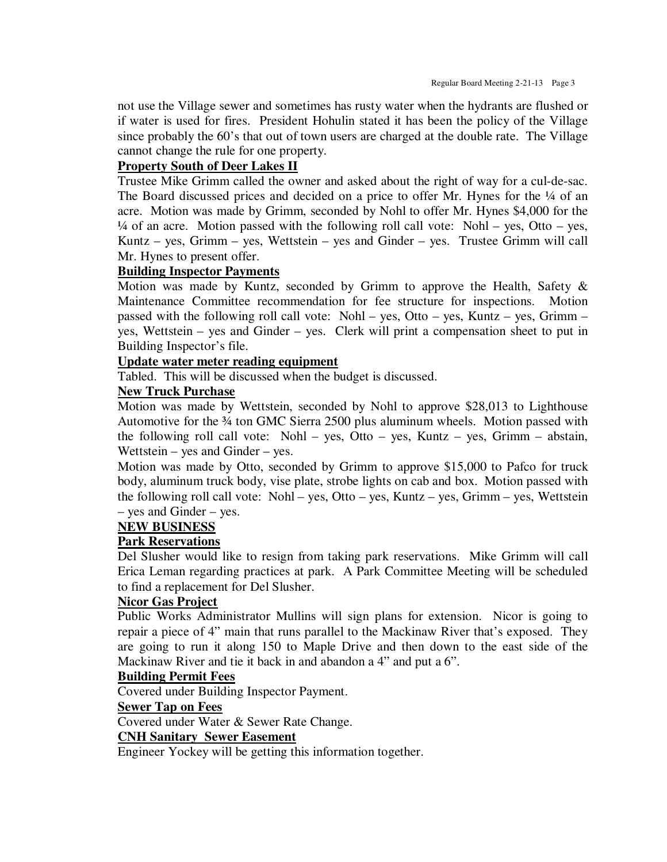not use the Village sewer and sometimes has rusty water when the hydrants are flushed or if water is used for fires. President Hohulin stated it has been the policy of the Village since probably the 60's that out of town users are charged at the double rate. The Village cannot change the rule for one property.

#### **Property South of Deer Lakes II**

Trustee Mike Grimm called the owner and asked about the right of way for a cul-de-sac. The Board discussed prices and decided on a price to offer Mr. Hynes for the  $\frac{1}{4}$  of an acre. Motion was made by Grimm, seconded by Nohl to offer Mr. Hynes \$4,000 for the  $\frac{1}{4}$  of an acre. Motion passed with the following roll call vote: Nohl – yes, Otto – yes, Kuntz – yes, Grimm – yes, Wettstein – yes and Ginder – yes. Trustee Grimm will call Mr. Hynes to present offer.

#### **Building Inspector Payments**

Motion was made by Kuntz, seconded by Grimm to approve the Health, Safety & Maintenance Committee recommendation for fee structure for inspections. Motion passed with the following roll call vote: Nohl – yes, Otto – yes, Kuntz – yes, Grimm – yes, Wettstein – yes and Ginder – yes. Clerk will print a compensation sheet to put in Building Inspector's file.

### **Update water meter reading equipment**

Tabled. This will be discussed when the budget is discussed.

#### **New Truck Purchase**

Motion was made by Wettstein, seconded by Nohl to approve \$28,013 to Lighthouse Automotive for the 34 ton GMC Sierra 2500 plus aluminum wheels. Motion passed with the following roll call vote: Nohl – yes, Otto – yes, Kuntz – yes, Grimm – abstain, Wettstein – yes and Ginder – yes.

Motion was made by Otto, seconded by Grimm to approve \$15,000 to Pafco for truck body, aluminum truck body, vise plate, strobe lights on cab and box. Motion passed with the following roll call vote: Nohl – yes, Otto – yes, Kuntz – yes, Grimm – yes, Wettstein – yes and Ginder – yes.

#### **NEW BUSINESS**

#### **Park Reservations**

Del Slusher would like to resign from taking park reservations. Mike Grimm will call Erica Leman regarding practices at park. A Park Committee Meeting will be scheduled to find a replacement for Del Slusher.

#### **Nicor Gas Project**

Public Works Administrator Mullins will sign plans for extension. Nicor is going to repair a piece of 4" main that runs parallel to the Mackinaw River that's exposed. They are going to run it along 150 to Maple Drive and then down to the east side of the Mackinaw River and tie it back in and abandon a 4" and put a 6".

#### **Building Permit Fees**

Covered under Building Inspector Payment.

#### **Sewer Tap on Fees**

Covered under Water & Sewer Rate Change.

## **CNH Sanitary Sewer Easement**

Engineer Yockey will be getting this information together.